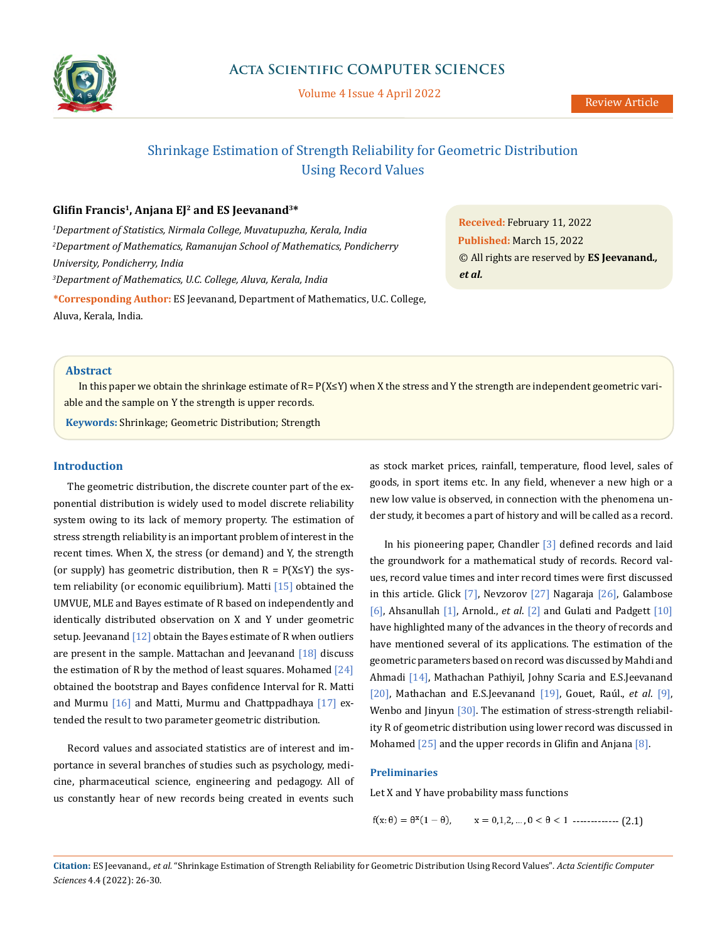

Volume 4 Issue 4 April 2022

# Shrinkage Estimation of Strength Reliability for Geometric Distribution Using Record Values

# **Glifin Francis<sup>1</sup>, Anjana EJ<sup>2</sup> and ES Jeevanand3\***

*1 Department of Statistics, Nirmala College, Muvatupuzha, Kerala, India 2 Department of Mathematics, Ramanujan School of Mathematics, Pondicherry University, Pondicherry, India 3 Department of Mathematics, U.C. College, Aluva, Kerala, India* **\*Corresponding Author:** ES Jeevanand, Department of Mathematics, U.C. College, Aluva, Kerala, India.

**Received:** February 11, 2022 **Published:** March 15, 2022 © All rights are reserved by **ES Jeevanand***., et al.*

### **Abstract**

In this paper we obtain the shrinkage estimate of R= P(X≤Y) when X the stress and Y the strength are independent geometric variable and the sample on Y the strength is upper records.

**Keywords:** Shrinkage; Geometric Distribution; Strength

## **Introduction**

The geometric distribution, the discrete counter part of the exponential distribution is widely used to model discrete reliability system owing to its lack of memory property. The estimation of stress strength reliability is an important problem of interest in the recent times. When X, the stress (or demand) and Y, the strength (or supply) has geometric distribution, then  $R = P(X \leq Y)$  the system reliability (or economic equilibrium). Matti [15] obtained the UMVUE, MLE and Bayes estimate of R based on independently and identically distributed observation on X and Y under geometric setup. Jeevanand  $[12]$  obtain the Bayes estimate of R when outliers are present in the sample. Mattachan and Jeevanand  $[18]$  discuss the estimation of R by the method of least squares. Mohamed  $[24]$ obtained the bootstrap and Bayes confidence Interval for R. Matti and Murmu  $[16]$  and Matti, Murmu and Chattppadhaya  $[17]$  extended the result to two parameter geometric distribution.

Record values and associated statistics are of interest and importance in several branches of studies such as psychology, medicine, pharmaceutical science, engineering and pedagogy. All of us constantly hear of new records being created in events such as stock market prices, rainfall, temperature, flood level, sales of goods, in sport items etc. In any field, whenever a new high or a new low value is observed, in connection with the phenomena under study, it becomes a part of history and will be called as a record.

In his pioneering paper, Chandler [3] defined records and laid the groundwork for a mathematical study of records. Record values, record value times and inter record times were first discussed in this article. Glick  $[7]$ , Nevzorov  $[27]$  Nagaraja  $[26]$ , Galambose [6], Ahsanullah [1], Arnold., *et al*. [2] and Gulati and Padgett [10] have highlighted many of the advances in the theory of records and have mentioned several of its applications. The estimation of the geometric parameters based on record was discussed by Mahdi and Ahmadi [14], Mathachan Pathiyil, Johny Scaria and E.S.Jeevanand [20], Mathachan and E.S.Jeevanand [19], Gouet, Raúl., *et al*. [9], Wenbo and Jinyun [30]. The estimation of stress-strength reliability R of geometric distribution using lower record was discussed in Mohamed [25] and the upper records in Glifin and Anjana [8].

## **Preliminaries**

Let X and Y have probability mass functions

 $f(x; \theta) = \theta^x (1 - \theta),$   $x = 0,1,2,..., 0 < \theta < 1$  -------------- (2.1)

**Citation:** ES Jeevanand*., et al.* "Shrinkage Estimation of Strength Reliability for Geometric Distribution Using Record Values". *Acta Scientific Computer Sciences* 4.4 (2022): 26-30.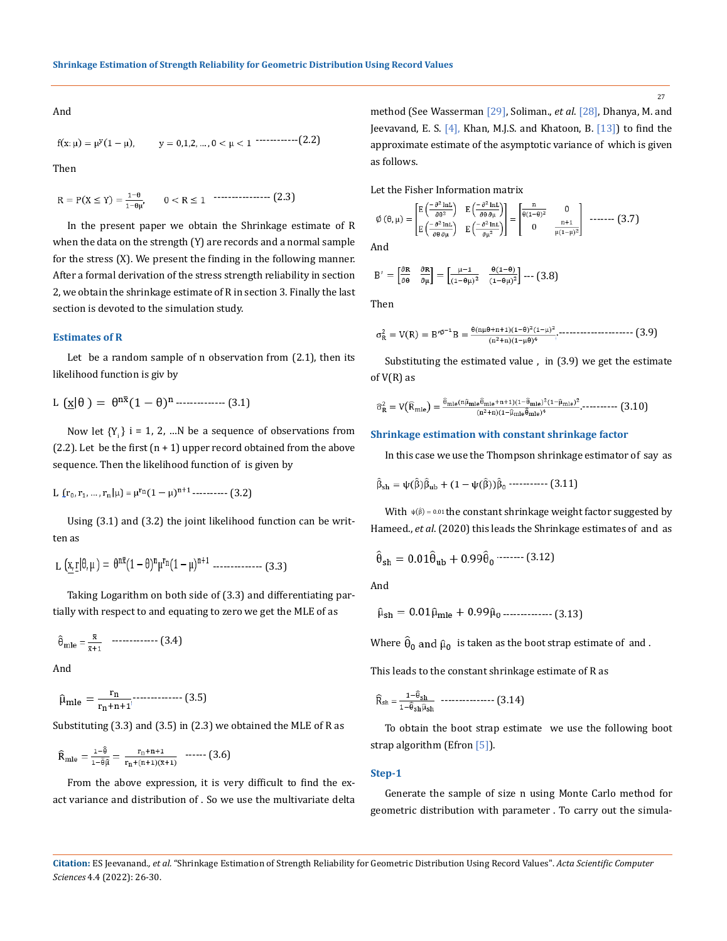And

------------(2.2)

Then

$$
R = P(X \le Y) = \frac{1-\theta}{1-\theta\mu'}, \qquad 0 < R \le 1 \quad \cdots \cdots \cdots \cdots \cdots \cdots \quad (2.3)
$$

In the present paper we obtain the Shrinkage estimate of R when the data on the strength (Y) are records and a normal sample for the stress (X). We present the finding in the following manner. After a formal derivation of the stress strength reliability in section 2, we obtain the shrinkage estimate of R in section 3. Finally the last section is devoted to the simulation study.

#### **Estimates of R**

Let be a random sample of n observation from (2.1), then its likelihood function is giv by

L -------------- (3.1)

Now let  ${Y_i}$  i = 1, 2, ...N be a sequence of observations from  $(2.2)$ . Let be the first  $(n + 1)$  upper record obtained from the above sequence. Then the likelihood function of is given by

L 
$$
(r_0, r_1, ..., r_n | \mu) = \mu^{r_n} (1 - \mu)^{n+1}
$$
 (3.2)

Using (3.1) and (3.2) the joint likelihood function can be written as

$$
L\,\left(\underline{x},\underline{r}|\theta,\mu\,\right)=\,\theta^{n\bar{x}}(1-\theta)^n\mu^{r_n}(1-\mu)^{n+1}\,\,{}^{............} \quad \ \ (3.3)
$$

Taking Logarithm on both side of (3.3) and differentiating partially with respect to and equating to zero we get the MLE of as

$$
\hat{\theta}_{\text{mle}} = \frac{\bar{x}}{\bar{x} + 1} \quad \text{---} \quad (3.4)
$$

And

$$
\hat{\mu}_{mle} = \frac{r_n}{r_n + n + 1}
$$
 (3.5)

Substituting (3.3) and (3.5) in (2.3) we obtained the MLE of R as

$$
\widehat{R}_{mle}=\tfrac{1-\widehat{\theta}}{1-\widehat{\theta}\widehat{\mu}}=\tfrac{r_n+n+1}{r_n+(n+1)(\overline{x}+1)} \ \ \text{......}\ \ (3.6)
$$

From the above expression, it is very difficult to find the exact variance and distribution of . So we use the multivariate delta method (See Wasserman [29], Soliman., *et al*. [28], Dhanya, M. and Jeevavand, E. S. [4], Khan, M.J.S. and Khatoon, B. [13]) to find the approximate estimate of the asymptotic variance of which is given as follows.

Let the Fisher Information matrix

$$
\emptyset(\theta,\mu) = \begin{bmatrix} \mathbf{E} \left( \frac{-\partial^2 \ln \mathbf{L}}{\partial \theta \partial \mu} \right) & \mathbf{E} \left( \frac{-\partial^2 \ln \mathbf{L}}{\partial \theta \partial \mu} \right) \\ \mathbf{E} \left( \frac{-\partial^2 \ln \mathbf{L}}{\partial \theta \partial \mu} \right) & \mathbf{E} \left( \frac{-\partial^2 \ln \mathbf{L}}{\partial \mu^2} \right) \end{bmatrix} = \begin{bmatrix} \frac{\mathbf{n}}{\theta(1-\theta)^2} & \mathbf{0} \\ \mathbf{0} & \frac{\mathbf{n+1}}{\mu(1-\mu)^2} \end{bmatrix} \quad \text{and} \quad (3.7)
$$

And

$$
B' = \begin{bmatrix} \frac{\partial R}{\partial \theta} & \frac{\partial R}{\partial \mu} \end{bmatrix} = \begin{bmatrix} \frac{\mu - 1}{(1 - \theta \mu)^2} & \frac{\theta (1 - \theta)}{(1 - \theta \mu)^2} \end{bmatrix} \cdots (3.8)
$$

Then

$$
\sigma_R^2 = V(R) = B'^{\emptyset^{-1}}B = \tfrac{\theta (n \mu \theta + n + 1)(1 - \theta)^2 (1 - \mu)^2}{(n^2 + n)(1 - \mu \theta)^4} \cdots \tfrac{1}{(1 - \mu)^2} (3.9)
$$

Substituting the estimated value , in (3.9) we get the estimate of  $V(R)$  as

$$
\widehat{\sigma}_R^2 = V\big(\widehat{\mathrm{R}}_{mle}\big) = \tfrac{\widehat{\theta}_{mle}(\widehat{\mathrm{n}}\widehat{\mathrm{\mu}}_{mle}\widehat{\theta}_{mle}+n+1)(1-\widehat{\theta}_{mle})^2(1-\widehat{\mathrm{\mu}}_{mle})^2}{(n^2+n)(1-\widehat{\mathrm{\mu}}_{mle}\widehat{\theta}_{mle})^4}.\ldots \ldots \ldots \ldots \tag{3.10}
$$

#### **Shrinkage estimation with constant shrinkage factor**

In this case we use the Thompson shrinkage estimator of say as

-------------- (3.11)

With  $\psi(\hat{\beta}) = 0.01$  the constant shrinkage weight factor suggested by Hameed., *et al*. (2020) this leads the Shrinkage estimates of and as

$$
\hat{\theta}_{\rm sh} = 0.01 \hat{\theta}_{\rm ub} + 0.99 \hat{\theta}_{\rm 0} \cdots \cdots \cdots (3.12)
$$

And

$$
\hat{\mu}_{\rm sh} = 0.01 \hat{\mu}_{\rm mle} + 0.99 \hat{\mu}_{0} \dots \dots \dots \dots \dots \dots \dots \dots (3.13)
$$

Where  $\hat{\theta}_0$  and  $\hat{\mu}_0$  is taken as the boot strap estimate of and.

This leads to the constant shrinkage estimate of R as

$$
\widehat{R}_{sh} = \frac{1 - \widehat{\theta}_{sh}}{1 - \widehat{\theta}_{sh} \widehat{\mu}_{sh}} \quad \dots \quad (3.14)
$$

To obtain the boot strap estimate we use the following boot strap algorithm (Efron [5]).

#### **Step-1**

Generate the sample of size n using Monte Carlo method for geometric distribution with parameter . To carry out the simula-

**Citation:** ES Jeevanand*., et al.* "Shrinkage Estimation of Strength Reliability for Geometric Distribution Using Record Values". *Acta Scientific Computer Sciences* 4.4 (2022): 26-30.

27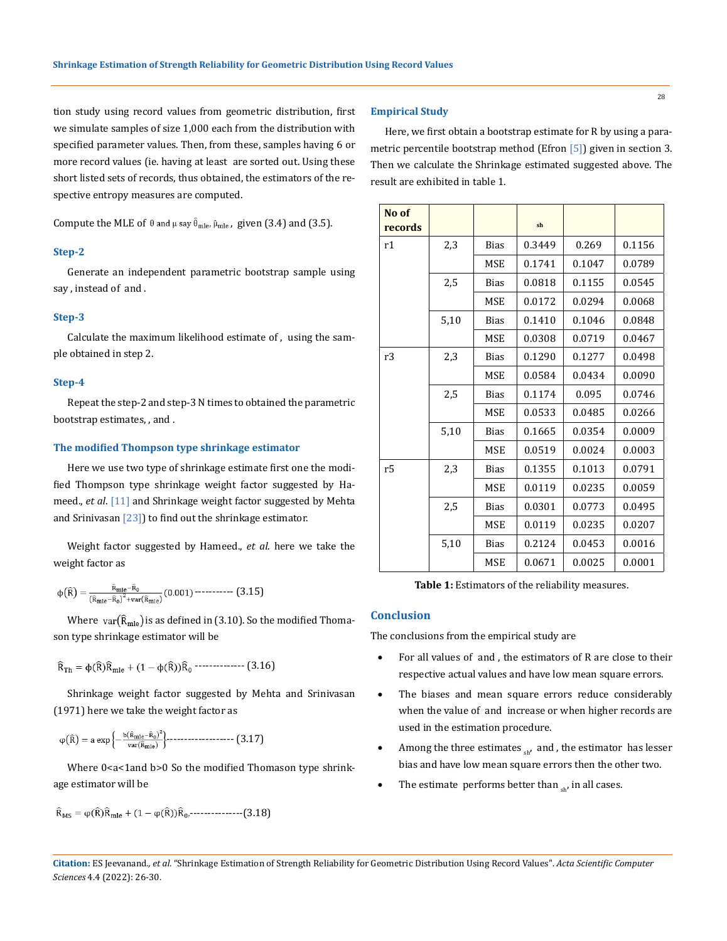tion study using record values from geometric distribution, first we simulate samples of size 1,000 each from the distribution with specified parameter values. Then, from these, samples having 6 or more record values (ie. having at least are sorted out. Using these short listed sets of records, thus obtained, the estimators of the respective entropy measures are computed.

Compute the MLE of  $\theta$  and  $\mu$  say  $\hat{\theta}_{mle}$ ,  $\hat{\mu}_{mle}$ , given (3.4) and (3.5).

#### **Step-2**

Generate an independent parametric bootstrap sample using say , instead of and .

#### **Step-3**

Calculate the maximum likelihood estimate of , using the sample obtained in step 2.

#### **Step-4**

Repeat the step-2 and step-3 N times to obtained the parametric bootstrap estimates, , and .

#### **The modified Thompson type shrinkage estimator**

Here we use two type of shrinkage estimate first one the modified Thompson type shrinkage weight factor suggested by Hameed., *et al*. [11] and Shrinkage weight factor suggested by Mehta and Srinivasan [23]) to find out the shrinkage estimator.

Weight factor suggested by Hameed., *et al*. here we take the weight factor as

$$
\varphi\big(\widehat{R}\big)=\frac{\widehat{\textbf{R}}_{mle}\textbf{-}\widehat{\textbf{R}}_{0}}{\left(\widehat{\textbf{R}}_{mle}\textbf{-}\widehat{\textbf{R}}_{0}\right)^{2}+\text{var}(\widehat{\textbf{R}}_{mle})}\left(0.001\right)\textbf{---}\textbf{---}\textbf{---}\left(3.15\right)
$$

Where var $(\widehat{R}_{mle})$  is as defined in (3.10). So the modified Thomason type shrinkage estimator will be

$$
\widehat{R}_{\text{Th}} = \varphi(\widehat{R})\widehat{R}_{\text{mle}} + (1 - \varphi(\widehat{R}))\widehat{R}_0 \cdots \cdots \cdots \cdots \cdots \quad (3.16)
$$

Shrinkage weight factor suggested by Mehta and Srinivasan (1971) here we take the weight factor as

$$
\phi\big(\widehat{R}\big) = a \exp\left\{-\tfrac{b(\widehat{R}_{mle}-\widehat{R}_0)^2}{var(\widehat{R}_{mle})}\right\} \cdots \cdots \cdots \cdots \cdots \cdots \cdots \left(3.17\right)
$$

Where 0<a<1and b>0 So the modified Thomason type shrinkage estimator will be

.---------------(3.18)

#### **Empirical Study**

Here, we first obtain a bootstrap estimate for R by using a parametric percentile bootstrap method (Efron [5]) given in section 3. Then we calculate the Shrinkage estimated suggested above. The result are exhibited in table 1.

| No of<br>records |      |             | sh     |        |        |
|------------------|------|-------------|--------|--------|--------|
| r1               | 2,3  | Bias        | 0.3449 | 0.269  | 0.1156 |
|                  |      | <b>MSE</b>  | 0.1741 | 0.1047 | 0.0789 |
|                  | 2,5  | <b>Bias</b> | 0.0818 | 0.1155 | 0.0545 |
|                  |      | MSE         | 0.0172 | 0.0294 | 0.0068 |
|                  | 5,10 | <b>Bias</b> | 0.1410 | 0.1046 | 0.0848 |
|                  |      | <b>MSE</b>  | 0.0308 | 0.0719 | 0.0467 |
| r3               | 2,3  | Bias        | 0.1290 | 0.1277 | 0.0498 |
|                  |      | MSE         | 0.0584 | 0.0434 | 0.0090 |
|                  | 2,5  | <b>Bias</b> | 0.1174 | 0.095  | 0.0746 |
|                  |      | MSE         | 0.0533 | 0.0485 | 0.0266 |
|                  | 5,10 | <b>Bias</b> | 0.1665 | 0.0354 | 0.0009 |
|                  |      | <b>MSE</b>  | 0.0519 | 0.0024 | 0.0003 |
| r5               | 2,3  | <b>Bias</b> | 0.1355 | 0.1013 | 0.0791 |
|                  |      | <b>MSE</b>  | 0.0119 | 0.0235 | 0.0059 |
|                  | 2,5  | <b>Bias</b> | 0.0301 | 0.0773 | 0.0495 |
|                  |      | MSE         | 0.0119 | 0.0235 | 0.0207 |
|                  | 5,10 | <b>Bias</b> | 0.2124 | 0.0453 | 0.0016 |
|                  |      | MSE         | 0.0671 | 0.0025 | 0.0001 |

**Table 1:** Estimators of the reliability measures.

# **Conclusion**

The conclusions from the empirical study are

- For all values of and, the estimators of R are close to their respective actual values and have low mean square errors.
- The biases and mean square errors reduce considerably when the value of and increase or when higher records are used in the estimation procedure.
- Among the three estimates  $_{sh}$ , and, the estimator has lesser bias and have low mean square errors then the other two.
- The estimate performs better than  $_{\text{sh}}$ , in all cases.

**Citation:** ES Jeevanand*., et al.* "Shrinkage Estimation of Strength Reliability for Geometric Distribution Using Record Values". *Acta Scientific Computer Sciences* 4.4 (2022): 26-30.

28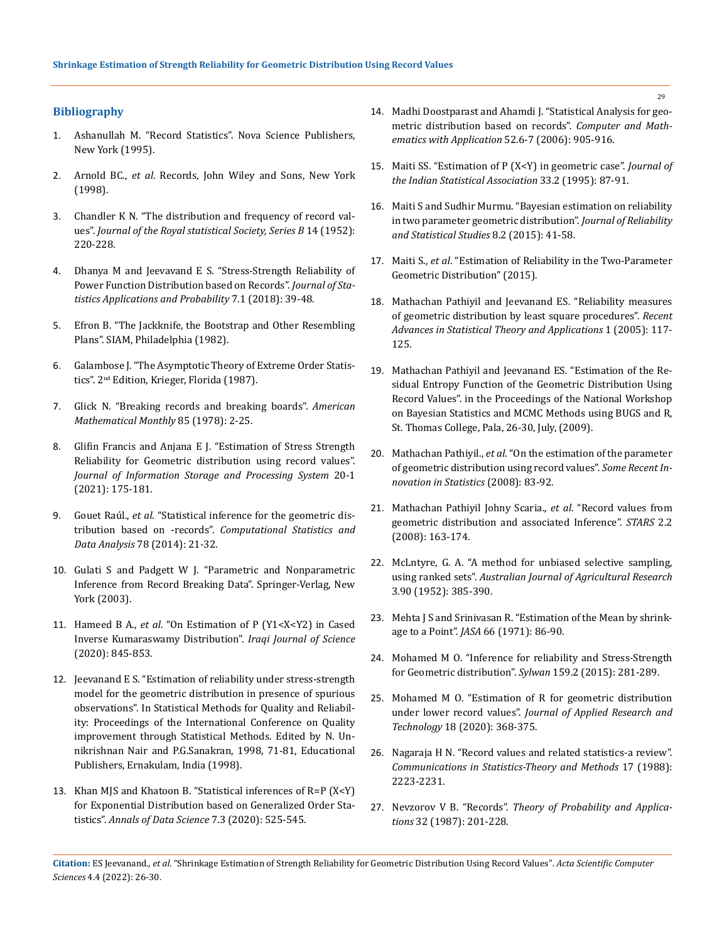# **Bibliography**

- 1. Ashanullah M. "Record Statistics". Nova Science Publishers, New York (1995).
- 2. Arnold BC., *et al*. Records, John Wiley and Sons, New York (1998).
- 3. [Chandler K N. "The distribution and frequency of record val](https://www.jstor.org/stable/2983870)ues". *Journal of the Royal statistical Society, Series B* 14 (1952): [220-228.](https://www.jstor.org/stable/2983870)
- 4. [Dhanya M and Jeevavand E S. "Stress-Strength Reliability of](https://www.researchgate.net/publication/326486864_Stress-Strength_Reliability_Of_Power_Function_Distribution_Based_On_Records)  [Power Function Distribution based on Records".](https://www.researchgate.net/publication/326486864_Stress-Strength_Reliability_Of_Power_Function_Distribution_Based_On_Records) *Journal of Sta[tistics Applications and Probability](https://www.researchgate.net/publication/326486864_Stress-Strength_Reliability_Of_Power_Function_Distribution_Based_On_Records)* 7.1 (2018): 39-48.
- 5. Efron B. "The Jackknife, the Bootstrap and Other Resembling Plans". SIAM, Philadelphia (1982).
- 6. Galambose J. "The Asymptotic Theory of Extreme Order Statistics". 2nd Edition, Krieger, Florida (1987).
- 7. [Glick N. "Breaking records and breaking boards".](https://www.jstor.org/stable/2978044) *American [Mathematical Monthly](https://www.jstor.org/stable/2978044)* 85 (1978): 2-25.
- 8. Glifin Francis and Anjana E J. "Estimation of Stress Strength Reliability for Geometric distribution using record values". *Journal of Information Storage and Processing System* 20-1 (2021): 175-181.
- 9. Gouet Raúl., *et al*. "Statistical inference for the geometric distribution based on -records". *Computational Statistics and Data Analysis* 78 (2014): 21-32.
- 10. Gulati S and Padgett W J. "Parametric and Nonparametric Inference from Record Breaking Data". Springer-Verlag, New York (2003).
- 11. Hameed B A., *et al*[. "On Estimation of P \(Y1<X<Y2\) in Cased](https://ijs.uobaghdad.edu.iq/index.php/eijs/article/view/1490)  [Inverse Kumaraswamy Distribution".](https://ijs.uobaghdad.edu.iq/index.php/eijs/article/view/1490) *Iraqi Journal of Science*  [\(2020\): 845-853.](https://ijs.uobaghdad.edu.iq/index.php/eijs/article/view/1490)
- 12. Jeevanand E S. "Estimation of reliability under stress-strength model for the geometric distribution in presence of spurious observations". In Statistical Methods for Quality and Reliability: Proceedings of the International Conference on Quality improvement through Statistical Methods. Edited by N. Unnikrishnan Nair and P.G.Sanakran, 1998, 71-81, Educational Publishers, Ernakulam, India (1998).
- 13. [Khan MJS and Khatoon B. "Statistical inferences of R=P \(X<Y\)](https://www.proquest.com/openview/f762b0b5b61a50eaa3942b4b262c56b1/1?pq-origsite=gscholar&cbl=2044270)  [for Exponential Distribution based on Generalized Order Sta](https://www.proquest.com/openview/f762b0b5b61a50eaa3942b4b262c56b1/1?pq-origsite=gscholar&cbl=2044270)tistics". *[Annals of Data Science](https://www.proquest.com/openview/f762b0b5b61a50eaa3942b4b262c56b1/1?pq-origsite=gscholar&cbl=2044270)* 7.3 (2020): 525-545.
- 14. Madhi Doostparast and Ahamdi J. "Statistical Analysis for geometric distribution based on records". *Computer and Mathematics with Application* 52.6-7 (2006): 905-916.
- 15. [Maiti SS. "Estimation of P \(X<Y\) in geometric case".](https://www.researchgate.net/publication/270282585_Estimation_of_PXY_in_the_Geometric_case) *Journal of [the Indian Statistical Association](https://www.researchgate.net/publication/270282585_Estimation_of_PXY_in_the_Geometric_case)* 33.2 (1995): 87-91.
- 16. [Maiti S and Sudhir Murmu. "Bayesian estimation on reliability](https://www.researchgate.net/publication/297816050_BAYESIAN_ESTIMATION_OF_RELIABILITY_IN_TWO-_PARAMETER_GEOMETRIC_DISTRIBUTION)  [in two parameter geometric distribution".](https://www.researchgate.net/publication/297816050_BAYESIAN_ESTIMATION_OF_RELIABILITY_IN_TWO-_PARAMETER_GEOMETRIC_DISTRIBUTION) *Journal of Reliability [and Statistical Studies](https://www.researchgate.net/publication/297816050_BAYESIAN_ESTIMATION_OF_RELIABILITY_IN_TWO-_PARAMETER_GEOMETRIC_DISTRIBUTION)* 8.2 (2015): 41-58.
- 17. Maiti S., *et al*[. "Estimation of Reliability in the Two-Parameter](https://arxiv.org/abs/1501.05072)  [Geometric Distribution" \(2015\).](https://arxiv.org/abs/1501.05072)
- 18. [Mathachan Pathiyil and Jeevanand ES. "Reliability measures](https://esjeevanand.uccollege.edu.in/pubs/reliability-measures-of-geometric-distribution-by-least-square-procedures/)  [of geometric distribution by least square procedures".](https://esjeevanand.uccollege.edu.in/pubs/reliability-measures-of-geometric-distribution-by-least-square-procedures/) *Recent [Advances in Statistical Theory and Applications](https://esjeevanand.uccollege.edu.in/pubs/reliability-measures-of-geometric-distribution-by-least-square-procedures/)* 1 (2005): 117- [125.](https://esjeevanand.uccollege.edu.in/pubs/reliability-measures-of-geometric-distribution-by-least-square-procedures/)
- 19. Mathachan Pathiyil and Jeevanand ES. "Estimation of the Residual Entropy Function of the Geometric Distribution Using Record Values". in the Proceedings of the National Workshop on Bayesian Statistics and MCMC Methods using BUGS and R, St. Thomas College, Pala, 26-30, July, (2009).
- 20. Mathachan Pathiyil., *et al*. "On the estimation of the parameter of geometric distribution using record values". *Some Recent Innovation in Statistics* (2008): 83-92.
- 21. Mathachan Pathiyil Johny Scaria., *et al*. "Record values from geometric distribution and associated Inference". *STARS* 2.2 (2008): 163-174.
- 22. McLntyre, G. A. "A method for unbiased selective sampling, using ranked sets". *Australian Journal of Agricultural Research* 3.90 (1952): 385-390.
- 23. [Mehta J S and Srinivasan R. "Estimation of the Mean by shrink](https://www.jstor.org/stable/2284853)age to a Point". *JASA* [66 \(1971\): 86-90.](https://www.jstor.org/stable/2284853)
- 24. [Mohamed M O. "Inference for reliability and Stress-Strength](https://www.researchgate.net/publication/344201378_Inference_for_Reliability_and_Stress-Strength_for_Geometric_Distribution)  [for Geometric distribution".](https://www.researchgate.net/publication/344201378_Inference_for_Reliability_and_Stress-Strength_for_Geometric_Distribution) *Sylwan* 159.2 (2015): 281-289.
- 25. [Mohamed M O. "Estimation of R for geometric distribution](http://www.scielo.org.mx/scielo.php?script=sci_arttext&pid=S1665-64232020000600368&lng=en&nrm=iso&tlng=en)  under lower record values". *[Journal of Applied Research and](http://www.scielo.org.mx/scielo.php?script=sci_arttext&pid=S1665-64232020000600368&lng=en&nrm=iso&tlng=en)  Technology* [18 \(2020\): 368-375.](http://www.scielo.org.mx/scielo.php?script=sci_arttext&pid=S1665-64232020000600368&lng=en&nrm=iso&tlng=en)
- 26. [Nagaraja H N. "Record values and related statistics-a review".](https://www.tandfonline.com/doi/abs/10.1080/03610928808829743)  *[Communications in Statistics-Theory and Methods](https://www.tandfonline.com/doi/abs/10.1080/03610928808829743)* 17 (1988): [2223-2231.](https://www.tandfonline.com/doi/abs/10.1080/03610928808829743)
- 27. Nevzorov V B. "Records". *Theory of Probability and Applications* 32 (1987): 201-228.

**Citation:** ES Jeevanand*., et al.* "Shrinkage Estimation of Strength Reliability for Geometric Distribution Using Record Values". *Acta Scientific Computer Sciences* 4.4 (2022): 26-30.

29